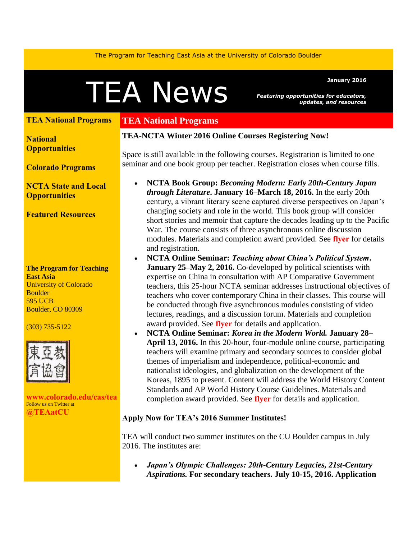The Program for Teaching East Asia at the University of Colorado Boulder

# Featuring opportunities for educators,

<span id="page-0-0"></span>*Featuring opportunities for educators, updates, and resources* 

# **[TEA National Programs](#page-0-0)**

**[National](#page-1-0) [Opportunities](#page-1-0)**

**[Colorado Programs](#page-4-0)**

**[NCTA State](#page-4-1) and Local [Opportunities](#page-4-1)** 

**[Featured Resources](#page-4-2)** 

**The Program for Teaching East Asia** University of Colorado **Boulder** 595 UCB Boulder, CO 80309

#### (303) 735-5122



**[www.colorado.edu/cas/tea](http://www.colorado.edu/cas/tea)** Follow us on Twitter at **[@TEAatCU](https://twitter.com/TEAatCU)**

# **TEA National Programs**

#### **TEA-NCTA Winter 2016 Online Courses Registering Now!**

Space is still available in the following courses. Registration is limited to one seminar and one book group per teacher. Registration closes when course fills.

- **NCTA Book Group:** *Becoming Modern: Early 20th-Century Japan through Literature***. January 16–March 18, 2016.** In the early 20th century, a vibrant literary scene captured diverse perspectives on Japan's changing society and role in the world. This book group will consider short stories and memoir that capture the decades leading up to the Pacific War. The course consists of three asynchronous online discussion modules. Materials and completion award provided. See **[flyer](http://www.colorado.edu/cas/tea/ncta/downloads/20thcJLitFlyer.pdf)** for details and registration.
- **NCTA Online Seminar:** *Teaching about China's Political System***. January 25–May 2, 2016.** Co-developed by political scientists with expertise on China in consultation with AP Comparative Government teachers, this 25-hour NCTA seminar addresses instructional objectives of teachers who cover contemporary China in their classes. This course will be conducted through five asynchronous modules consisting of video lectures, readings, and a discussion forum. Materials and completion award provided. See **[flyer](http://www.colorado.edu/cas/tea/ncta/downloads/China_Govt_Flyer_Winter-Spring_2016.pdf)** for details and application.
- **NCTA Online Seminar:** *Korea in the Modern World.* **January 28– April 13, 2016.** In this 20-hour, four-module online course, participating teachers will examine primary and secondary sources to consider global themes of imperialism and independence, political-economic and nationalist ideologies, and globalization on the development of the Koreas, 1895 to present. Content will address the World History Content Standards and AP World History Course Guidelines. Materials and completion award provided. See **[flyer](http://www.colorado.edu/cas/tea/ncta/downloads/KoreaWS2016flyer.pdf)** for details and application.

## **Apply Now for TEA's 2016 Summer Institutes!**

TEA will conduct two summer institutes on the CU Boulder campus in July 2016. The institutes are:

 *Japan's Olympic Challenges: 20th-Century Legacies, 21st-Century Aspirations.* **For secondary teachers. July 10-15, 2016. Application**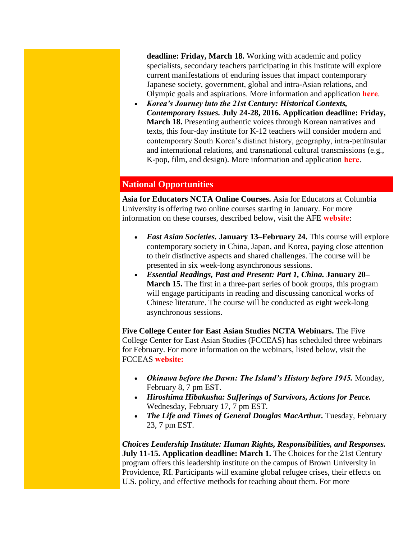**deadline: Friday, March 18.** Working with academic and policy specialists, secondary teachers participating in this institute will explore current manifestations of enduring issues that impact contemporary Japanese society, government, global and intra-Asian relations, and Olympic goals and aspirations. More information and application **[here](http://www.colorado.edu/cas/tea/ncta/downloads/Japan_SI2016_application.pdf)**.

 *Korea's Journey into the 21st Century: Historical Contexts, Contemporary Issues.* **July 24-28, 2016. Application deadline: Friday, March 18.** Presenting authentic voices through Korean narratives and texts, this four-day institute for K-12 teachers will consider modern and contemporary South Korea's distinct history, geography, intra-peninsular and international relations, and transnational cultural transmissions (e.g., K-pop, film, and design). More information and application **[here](http://www.colorado.edu/cas/tea/ncta/downloads/KSI2016App.pdf)**.

# <span id="page-1-0"></span>**National Opportunities**

**Asia for Educators NCTA Online Courses.** Asia for Educators at Columbia University is offering two online courses starting in January. For more information on these courses, described below, visit the AFE **[website](http://afe.easia.columbia.edu/online_course/)**:

- *East Asian Societies.* **January 13–February 24.** This course will explore contemporary society in China, Japan, and Korea, paying close attention to their distinctive aspects and shared challenges. The course will be presented in six week-long asynchronous sessions.
- *Essential Readings, Past and Present: Part 1, China.* **January 20– March 15.** The first in a three-part series of book groups, this program will engage participants in reading and discussing canonical works of Chinese literature. The course will be conducted as eight week-long asynchronous sessions.

**Five College Center for East Asian Studies NCTA Webinars.** The Five College Center for East Asian Studies (FCCEAS) has scheduled three webinars for February. For more information on the webinars, listed below, visit the FCCEAS **[website:](https://www.fivecolleges.edu/fcceas/webinar)**

- *Okinawa before the Dawn: The Island's History before 1945.* Monday, February 8, 7 pm EST.
- *Hiroshima Hibakusha: Sufferings of Survivors, Actions for Peace.*  Wednesday, February 17, 7 pm EST.
- *The Life and Times of General Douglas MacArthur.* Tuesday, February 23, 7 pm EST.

*Choices Leadership Institute: Human Rights, Responsibilities, and Responses.*  **July 11-15. Application deadline: March 1.** The Choices for the 21st Century program offers this leadership institute on the campus of Brown University in Providence, RI. Participants will examine global refugee crises, their effects on U.S. policy, and effective methods for teaching about them. For more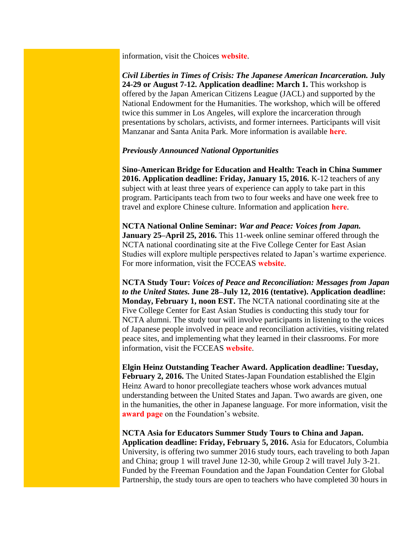information, visit the Choices **[website](http://www.choices.edu/pd/institutes/institute-2016.php)**.

*Civil Liberties in Times of Crisis: The Japanese American Incarceration.* **July 24-29 or August 7-12. Application deadline: March 1.** This workshop is offered by the Japan American Citizens League (JACL) and supported by the National Endowment for the Humanities. The workshop, which will be offered twice this summer in Los Angeles, will explore the incarceration through presentations by scholars, activists, and former internees. Participants will visit Manzanar and Santa Anita Park. More information is available **[here](https://neh2016.jacl.org/)**.

#### *Previously Announced National Opportunities*

**Sino-American Bridge for Education and Health: Teach in China Summer 2016. Application deadline: Friday, January 15, 2016.** K-12 teachers of any subject with at least three years of experience can apply to take part in this program. Participants teach from two to four weeks and have one week free to travel and explore Chinese culture. Information and application **[here](http://sabeh.org/summer-2015/)**.

**NCTA National Online Seminar:** *War and Peace: Voices from Japan.* **January 25–April 25, 2016.** This 11-week online seminar offered through the NCTA national coordinating site at the Five College Center for East Asian Studies will explore multiple perspectives related to Japan's wartime experience. For more information, visit the FCCEAS **[website](https://www.fivecolleges.edu/fcceas/ncta/national-online)**.

**NCTA Study Tour:** *Voices of Peace and Reconciliation: Messages from Japan to the United States.* **June 28–July 12, 2016 (tentative). Application deadline: Monday, February 1, noon EST.** The NCTA national coordinating site at the Five College Center for East Asian Studies is conducting this study tour for NCTA alumni. The study tour will involve participants in listening to the voices of Japanese people involved in peace and reconciliation activities, visiting related peace sites, and implementing what they learned in their classrooms. For more information, visit the FCCEAS **[website](https://www.fivecolleges.edu/fcceas/2016-japan-study-tour)**.

**Elgin Heinz Outstanding Teacher Award. Application deadline: Tuesday, February 2, 2016.** The United States-Japan Foundation established the Elgin Heinz Award to honor precollegiate teachers whose work advances mutual understanding between the United States and Japan. Two awards are given, one in the humanities, the other in Japanese language. For more information, visit the **[award page](http://us-jf.org/programs/elgin-heinz-teacher-awards/)** on the Foundation's website.

**NCTA Asia for Educators Summer Study Tours to China and Japan. Application deadline: Friday, February 5, 2016.** Asia for Educators, Columbia University, is offering two summer 2016 study tours, each traveling to both Japan and China; group 1 will travel June 12-30, while Group 2 will travel July 3-21. Funded by the Freeman Foundation and the Japan Foundation Center for Global Partnership, the study tours are open to teachers who have completed 30 hours in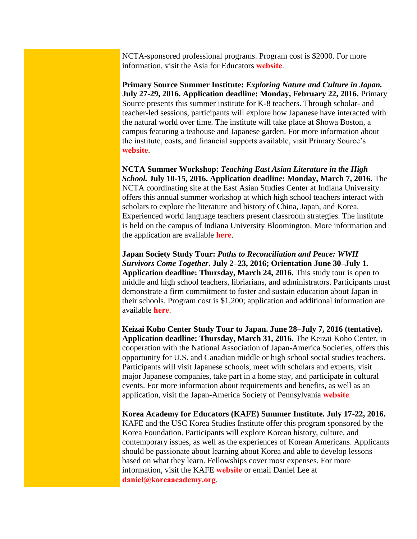NCTA-sponsored professional programs. Program cost is \$2000. For more information, visit the Asia for Educators **[website](http://www.columbia.edu/itc/eacp/ncta-columbia/studytours/)**.

**Primary Source Summer Institute:** *Exploring Nature and Culture in Japan.* **July 27-29, 2016. Application deadline: Monday, February 22, 2016.** Primary Source presents this summer institute for K-8 teachers. Through scholar- and teacher-led sessions, participants will explore how Japanese have interacted with the natural world over time. The institute will take place at Showa Boston, a campus featuring a teahouse and Japanese garden. For more information about the institute, costs, and financial supports available, visit Primary Source's **[website](http://www.primarysource.org/for-teachers/courses/exploring-nature-and-culture-in-japan)**.

**NCTA Summer Workshop:** *Teaching East Asian Literature in the High School.* **July 10-15, 2016. Application deadline: Monday, March 7, 2016.** The NCTA coordinating site at the East Asian Studies Center at Indiana University offers this annual summer workshop at which high school teachers interact with scholars to explore the literature and history of China, Japan, and Korea. Experienced world language teachers present classroom strategies. The institute is held on the campus of Indiana University Bloomington. More information and the application are available **[here](http://www.iu.edu/~easc/outreach/educators/literature/index.shtml)**.

**Japan Society Study Tour:** *Paths to Reconciliation and Peace: WWII Survivors Come Together***. July 2–23, 2016; Orientation June 30–July 1. Application deadline: Thursday, March 24, 2016.** This study tour is open to middle and high school teachers, libriarians, and administrators. Participants must demonstrate a firm commitment to foster and sustain education about Japan in their schools. Program cost is \$1,200; application and additional information are available **[here](https://www.japansociety.org/page/programs/education/educators_study_tour)**.

**Keizai Koho Center Study Tour to Japan. June 28–July 7, 2016 (tentative). Application deadline: Thursday, March 31, 2016.** The Keizai Koho Center, in cooperation with the National Association of Japan-America Societies, offers this opportunity for U.S. and Canadian middle or high school social studies teachers. Participants will visit Japanese schools, meet with scholars and experts, visit major Japanese companies, take part in a home stay, and participate in cultural events. For more information about requirements and benefits, as well as an application, visit the Japan-America Society of Pennsylvania **[website](http://www.kkc.or.jp/english/fellowship/fellowships/index.html)**.

**Korea Academy for Educators (KAFE) Summer Institute. July 17-22, 2016.** KAFE and the USC Korea Studies Institute offer this program sponsored by the Korea Foundation. Participants will explore Korean history, culture, and contemporary issues, as well as the experiences of Korean Americans. Applicants should be passionate about learning about Korea and able to develop lessons based on what they learn. Fellowships cover most expenses. For more information, visit the KAFE **[website](http://www.koreaacademy.org/)** or email Daniel Lee at **[daniel@koreaacademy.org](mailto:daniel@koreaacademy.org)**.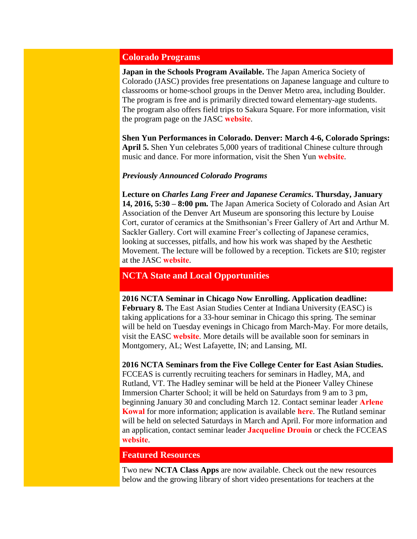## <span id="page-4-0"></span>**Colorado Programs**

**Japan in the Schools Program Available.** The Japan America Society of Colorado (JASC) provides free presentations on Japanese language and culture to classrooms or home-school groups in the Denver Metro area, including Boulder. The program is free and is primarily directed toward elementary-age students. The program also offers field trips to Sakura Square. For more information, visit the program page on the JASC **[website](http://www.jascolorado.org/japan-in-the-schools/)**.

**Shen Yun Performances in Colorado. Denver: March 4-6, Colorado Springs: April 5.** Shen Yun celebrates 5,000 years of traditional Chinese culture through music and dance. For more information, visit the Shen Yun **[website](http://shenyun.com/denver)**.

#### *Previously Announced Colorado Programs*

**Lecture on** *Charles Lang Freer and Japanese Ceramics***. Thursday, January 14, 2016, 5:30 – 8:00 pm.** The Japan America Society of Colorado and Asian Art Association of the Denver Art Museum are sponsoring this lecture by Louise Cort, curator of ceramics at the Smithsonian's Freer Gallery of Art and Arthur M. Sackler Gallery. Cort will examine Freer's collecting of Japanese ceramics, looking at successes, pitfalls, and how his work was shaped by the Aesthetic Movement. The lecture will be followed by a reception. Tickets are \$10; register at the JASC **[website](http://www.jascolorado.org/new-events-1/2016/1/14/lecture-charles-lang-freer-and-japanese-ceramics)**.

## <span id="page-4-1"></span>**NCTA State and Local Opportunities**

**2016 NCTA Seminar in Chicago Now Enrolling. Application deadline: February 8.** The East Asian Studies Center at Indiana University (EASC) is taking applications for a 33-hour seminar in Chicago this spring. The seminar will be held on Tuesday evenings in Chicago from March-May. For more details, visit the EASC **[website](http://www.iu.edu/~easc/outreach/educators/seminar/sites.shtml)**. More details will be available soon for seminars in Montgomery, AL; West Lafayette, IN; and Lansing, MI.

**2016 NCTA Seminars from the Five College Center for East Asian Studies.**  FCCEAS is currently recruiting teachers for seminars in Hadley, MA, and Rutland, VT. The Hadley seminar will be held at the Pioneer Valley Chinese Immersion Charter School; it will be held on Saturdays from 9 am to 3 pm, beginning January 30 and concluding March 12. Contact seminar leader **[Arlene](mailto:arlene.kowal@gmail.com )  [Kowal](mailto:arlene.kowal@gmail.com )** for more information; application is available **[here](https://www.fivecolleges.edu/fcceas/ncta/ncta_in_massachusetts)**. The Rutland seminar will be held on selected Saturdays in March and April. For more information and an application, contact seminar leader **[Jacqueline Drouin](mailto:jdrouin@uvm.edu)** or check the FCCEAS **[website](https://www.fivecolleges.edu/fcceas/ncta/vermont)**.

#### <span id="page-4-2"></span>**Featured Resources**

Two new **NCTA Class Apps** are now available. Check out the new resources below and the growing library of short video presentations for teachers at the